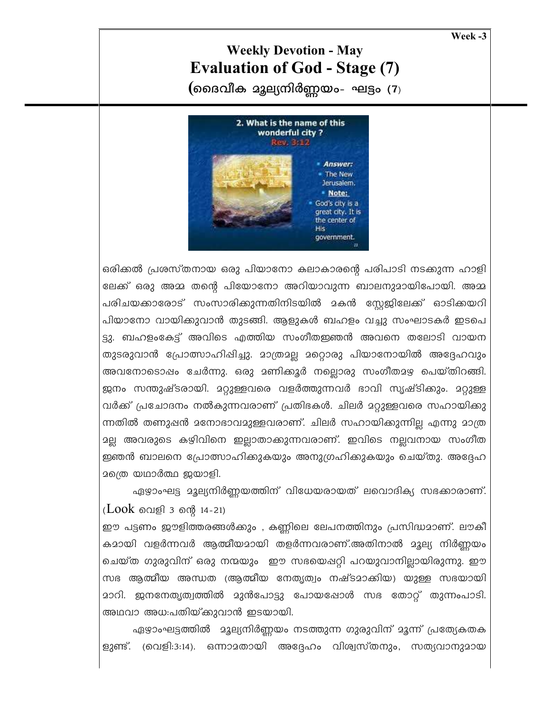Week-3

## **Weekly Devotion - May Evaluation of God - Stage (7)**

(മൈവീക മുല്യനിർണ്ണയം- ഘട്ടം (7)



ഒരിക്കൽ പ്രശസ്തനായ ഒരു പിയാനോ കലാകാരന്റെ പരിപാടി നടക്കുന്ന ഹാളി ലേക്ക് ഒരു അമ്മ തന്റെ പിയോനോ അറിയാവുന്ന ബാലനുമായിപോയി. അമ്മ പരിചയക്കാരോട് സംസാരിക്കുന്നതിനിടയിൽ മകൻ സ്റ്റേജിലേക്ക് ഓടിക്കയറി പിയാനോ വായിക്കുവാൻ തുടങ്ങി. ആളുകൾ ബഹളം വച്ചു സംഘാടകർ ഇടപെ ട്ടു. ബഹളംകേട്ട് അവിടെ എത്തിയ സംഗീതഇഞൻ അവനെ തലോടി വായന തുടരുവാൻ പ്രോത്സാഹിഷിച്ചു. മാത്രമല്ല മറ്റൊരു പിയാനോയിൽ അദ്ദേഹവും അവനോടൊഷം ചേർന്നു. ഒരു മണിക്കൂർ നല്ലൊരു സംഗീതമഴ പെയ്തിറങ്ങി. ജനം സന്തുഷ്ടരായി. മറ്റുള്ളവരെ വളർത്തുന്നവർ ഭാവി സൃഷ്ടിക്കും. മറ്റുള്ള വർക്ക് പ്രചോദനം നൽകുന്നവരാണ് പ്രതിഭകൾ. ചിലർ മറ്റുള്ളവരെ സഹായിക്കു ന്നതിൽ തണുഷൻ മനോഭാവമുള്ളവരാണ്. ചിലർ സഹായിക്കുന്നില്ല എന്നു മാത്ര <u>ാല്ല</u> അവരുടെ കഴിവിനെ ഇല്ലാതാക്കുന്നവരാണ്. ഇവിടെ നല്ലവനായ സംഗീത ഇഞൻ ബാലനെ പ്രോത്സാഹിക്കുകയും അനുഗ്രഹിക്കുകയും ചെയ്തു. അദ്ദേഹ മത്രെ യഥാർത്ഥ ജയാളി.

ഏഴാംഘട്ട മൂല്യനിർണ്ണയത്തിന് വിധേയരായത് ലവൊദിക്യ സഭക്കാരാണ്. ( $Look$  വെളി 3 ന്റെ 14-21)

ഈ പട്ടണം ജൗളിത്തരങ്ങൾക്കും , കണ്ണിലെ ലേപനത്തിനും പ്രസിദ്ധമാണ്. ലൗകീ കമായി വളർന്നവർ ആത്മീയമായി തളർന്നവരാണ്.അതിനാൽ മൂല്യ നിർണ്ണയം ചെയ്ത ഗുരുവിന് ഒരു നന്മയും ഈ സഭയെഷറ്റി പറയുവാനില്ലായിരുന്നു. ഈ സഭ ആത്മീയ അന്ധത (ആത്മീയ നേതൃത്വം നഷ്ടമാക്കിയ) യുള്ള സഭയായി മാറി. ജനനേതൃത്വത്തിൽ മുൻപോട്ടു പോയപ്പോൾ സഭ തോറ്റ് തുന്നംപാടി. അഥവാ അധ:പതിയ്ക്കുവാൻ ഇടയായി.

ഏഴാംഘട്ടത്തിൽ മൂല്യനിർണ്ണയം നടത്തുന്ന ഗുരുവിന് മൂന്ന് പ്രത്യേകതക ളുണ്ട്. (വെളി:3:14). ഒന്നാമതായി അദ്ദേഹം വിശ്വസ്തനും, സത്യവാനുമായ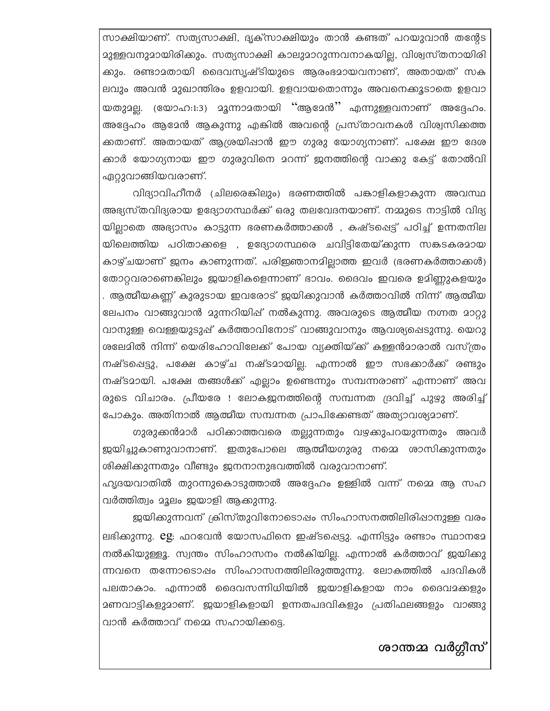സാക്ഷിയാണ്. സത്യസാക്ഷി, ദൃക്സാക്ഷിയും താൻ കണ്ടത് പറയുവാൻ തന്റേട മുള്ളവനുമായിരിക്കും. സത്യസാക്ഷി കാലുമാറുന്നവനാകയില്ല, വിശ്വസ്തനായിരി കും. രണ്ടാമതായി ദൈവസൃഷ്ടിയുടെ ആരംഭമായവനാണ്, അതായത് സക ലവും അവൻ മുഖാന്തിരം ഉളവായി. ഉളവായതൊന്നും അവനെക്കൂടാതെ ഉളവാ യതുമല്ല. (യോഹ:1:3) മൂന്നാമതായി "ആമേൻ" എന്നുള്ളവനാണ് അദ്ദേഹം. അദ്ദേഹം ആമേൻ ആകുന്നു എങ്കിൽ അവന്റെ പ്രസ്താവനകൾ വിശ്വസിക്കത്ത ക്കതാണ്. അതായത് ആശ്രയിഷാൻ ഈ ഗുരു യോഗ്യനാണ്. പക്ഷേ ഈ ദേശ ക്കാർ യോഗ്യനായ ഈ ഗുരുവിനെ മറന്ന് ജനത്തിന്റെ വാക്കു കേട്ട് തോൽവി ഏറ്റുവാങ്ങിയവരാണ്.

വിദ്യാവിഹീനർ (ചിലരെങ്കിലും) ഭരണത്തിൽ പങ്കാളികളാകുന്ന അവസ്ഥ അഭ്യസ്തവിദ്യരായ ഉദ്യോഗസ്ഥർക്ക് ഒരു തലവേദനയാണ്. നമ്മുടെ നാട്ടിൽ വിദ്യ യില്ലാതെ അഭ്യാസം കാട്ടുന്ന ഭരണകർത്താക്കൾ , കഷ്ടപ്പെട്ട് പഠിച്ച് ഉന്നതനില യിലെത്തിയ പഠിതാക്കളെ , ഉദ്യോഗസ്ഥരെ ചവിട്ടിതേയ്ക്കുന്ന സങ്കടകരമായ കാഴ്ചയാണ് ജനം കാണുന്നത്. പരിഇഞാനമില്ലാത്ത ഇവർ (ഭരണകർത്താക്കൾ) തോറ്റവരാണെങ്കിലും ജയാളികളെന്നാണ് ഭാവം. ദൈവം ഇവരെ ഉമിണ്ണുകളയും . ആത്മീയകണ്ണ് കുരുടായ ഇവരോട് ജയിക്കുവാൻ കർത്താവിൽ നിന്ന് ആത്മീയ ലേപനം വാങ്ങുവാൻ മുന്നറിയിഷ് നൽകുന്നു. അവരുടെ ആത്മീയ നഗ്നത മാറ്റു വാനുള്ള വെള്ളയുടുപ്പ് കർത്താവിനോട് വാങ്ങുവാനും ആവശ്യപ്പെടുന്നു. യെറു ശലേമിൽ നിന്ന് യെരിഹോവിലേക്ക് പോയ വ്യക്തിയ്ക്ക് കള്ളൻമാരാൽ വസ്ത്രം നഷ്ടപ്പെട്ടു, പക്ഷേ കാഴ്ച നഷ്ടമായില്ല. എന്നാൽ ഈ സഭക്കാർക്ക് രണ്ടും നഷ്ടമായി. പക്ഷേ തങ്ങൾക്ക് എല്ലാം ഉണ്ടെന്നും സമ്പന്നരാണ് എന്നാണ് അവ രുടെ വിചാരം. പ്രീയരേ ! ലോകജനത്തിന്റെ സമ്പന്നത ദ്രവിച്ച് പുഴു അരിച്ച് പോകും. അതിനാൽ ആത്മീയ സമ്പന്നത പ്രാപിക്കേണ്ടത് അത്യാവശ്യമാണ്.

ഗുരുക്കൻമാർ പഠിക്കാത്തവരെ തല്ലുന്നതും വഴക്കുപറയുന്നതും അവർ ജയിച്ചുകാണുവാനാണ്. ഇതുപോലെ ആത്മീയഗുരു നമ്മെ ശാസിക്കുന്നതും ശിക്ഷിക്കുന്നതും വീണ്ടും ജനനാനുഭവത്തിൽ വരുവാനാണ്.

ഹൃദയവാതിൽ തുറന്നുകൊടുത്താൽ അദ്ദേഹം ഉള്ളിൽ വന്ന് നമ്മെ ആ സഹ വർത്തിത്വം മൂലം ജയാളി ആക്കുന്നു.

ജയിക്കുന്നവന് ക്രിസ്തുവിനോടൊഷം സിംഹാസനത്തിലിരിഷാനുള്ള വരം ലഭിക്കുന്നു. eg: ഫറവേൻ യോസഫിനെ ഇഷ്ടപ്പെട്ടു. എന്നിട്ടും രണ്ടാം സ്ഥാനമേ നൽകിയുള്ളൂ. സ്വന്തം സിംഹാസനം നൽകിയില്ല. എന്നാൽ കർത്താവ് ഇയിക്കു ന്നവനെ തന്നോടൊഷം സിംഹാസനത്തിലിരുത്തുന്നു. ലോകത്തിൽ പദവികൾ പലതാകാം. എന്നാൽ ദൈവസന്നിധിയിൽ ഇയാളികളായ നാം ദൈവമക്കളും മണവാട്ടികളുമാണ്. ജയാളികളായി ഉന്നതപദവികളും പ്രതിഫലങ്ങളും വാങ്ങു വാൻ കർത്താവ് നമ്മെ സഹായിക്കട്ടെ.

ശാന്തമ്മ വർഗ്ഗീസ്